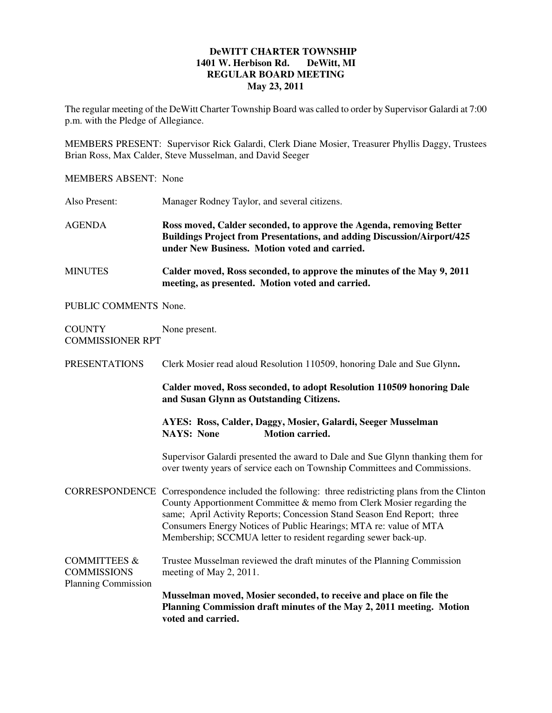## **DeWITT CHARTER TOWNSHIP 1401 W. Herbison Rd. DeWitt, MI REGULAR BOARD MEETING May 23, 2011**

The regular meeting of the DeWitt Charter Township Board was called to order by Supervisor Galardi at 7:00 p.m. with the Pledge of Allegiance.

MEMBERS PRESENT: Supervisor Rick Galardi, Clerk Diane Mosier, Treasurer Phyllis Daggy, Trustees Brian Ross, Max Calder, Steve Musselman, and David Seeger

MEMBERS ABSENT: None

Also Present: Manager Rodney Taylor, and several citizens.

AGENDA **Ross moved, Calder seconded, to approve the Agenda, removing Better Buildings Project from Presentations, and adding Discussion/Airport/425 under New Business. Motion voted and carried.** 

MINUTES **Calder moved, Ross seconded, to approve the minutes of the May 9, 2011 meeting, as presented. Motion voted and carried.** 

PUBLIC COMMENTS None.

COUNTY None present. COMMISSIONER RPT

PRESENTATIONS Clerk Mosier read aloud Resolution 110509, honoring Dale and Sue Glynn**.** 

**Calder moved, Ross seconded, to adopt Resolution 110509 honoring Dale and Susan Glynn as Outstanding Citizens.** 

 **AYES: Ross, Calder, Daggy, Mosier, Galardi, Seeger Musselman NAYS:** None **Motion carried.** 

Supervisor Galardi presented the award to Dale and Sue Glynn thanking them for over twenty years of service each on Township Committees and Commissions.

CORRESPONDENCE Correspondence included the following: three redistricting plans from the Clinton County Apportionment Committee & memo from Clerk Mosier regarding the same; April Activity Reports; Concession Stand Season End Report; three Consumers Energy Notices of Public Hearings; MTA re: value of MTA Membership; SCCMUA letter to resident regarding sewer back-up.

COMMITTEES & Trustee Musselman reviewed the draft minutes of the Planning Commission COMMISSIONS meeting of May 2, 2011.

Planning Commission **Musselman moved, Mosier seconded, to receive and place on file the Planning Commission draft minutes of the May 2, 2011 meeting. Motion voted and carried.**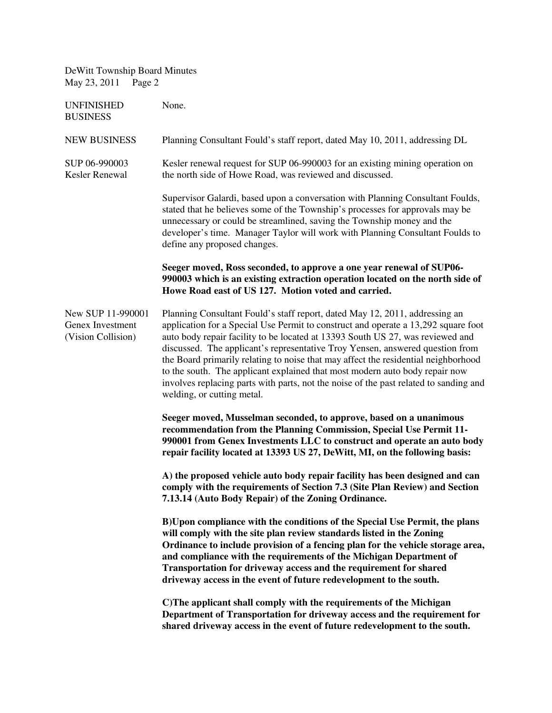| DeWitt Township Board Minutes<br>May 23, 2011<br>Page 2     |                                                                                                                                                                                                                                                                                                                                                                                                                                                                                                                                                                                                                                  |
|-------------------------------------------------------------|----------------------------------------------------------------------------------------------------------------------------------------------------------------------------------------------------------------------------------------------------------------------------------------------------------------------------------------------------------------------------------------------------------------------------------------------------------------------------------------------------------------------------------------------------------------------------------------------------------------------------------|
| <b>UNFINISHED</b><br><b>BUSINESS</b>                        | None.                                                                                                                                                                                                                                                                                                                                                                                                                                                                                                                                                                                                                            |
| <b>NEW BUSINESS</b>                                         | Planning Consultant Fould's staff report, dated May 10, 2011, addressing DL                                                                                                                                                                                                                                                                                                                                                                                                                                                                                                                                                      |
| SUP 06-990003<br>Kesler Renewal                             | Kesler renewal request for SUP 06-990003 for an existing mining operation on<br>the north side of Howe Road, was reviewed and discussed.                                                                                                                                                                                                                                                                                                                                                                                                                                                                                         |
|                                                             | Supervisor Galardi, based upon a conversation with Planning Consultant Foulds,<br>stated that he believes some of the Township's processes for approvals may be<br>unnecessary or could be streamlined, saving the Township money and the<br>developer's time. Manager Taylor will work with Planning Consultant Foulds to<br>define any proposed changes.                                                                                                                                                                                                                                                                       |
|                                                             | Seeger moved, Ross seconded, to approve a one year renewal of SUP06-<br>990003 which is an existing extraction operation located on the north side of<br>Howe Road east of US 127. Motion voted and carried.                                                                                                                                                                                                                                                                                                                                                                                                                     |
| New SUP 11-990001<br>Genex Investment<br>(Vision Collision) | Planning Consultant Fould's staff report, dated May 12, 2011, addressing an<br>application for a Special Use Permit to construct and operate a 13,292 square foot<br>auto body repair facility to be located at 13393 South US 27, was reviewed and<br>discussed. The applicant's representative Troy Yensen, answered question from<br>the Board primarily relating to noise that may affect the residential neighborhood<br>to the south. The applicant explained that most modern auto body repair now<br>involves replacing parts with parts, not the noise of the past related to sanding and<br>welding, or cutting metal. |
|                                                             | Seeger moved, Musselman seconded, to approve, based on a unanimous<br>recommendation from the Planning Commission, Special Use Permit 11-<br>990001 from Genex Investments LLC to construct and operate an auto body<br>repair facility located at 13393 US 27, DeWitt, MI, on the following basis:                                                                                                                                                                                                                                                                                                                              |
|                                                             | A) the proposed vehicle auto body repair facility has been designed and can<br>comply with the requirements of Section 7.3 (Site Plan Review) and Section<br>7.13.14 (Auto Body Repair) of the Zoning Ordinance.                                                                                                                                                                                                                                                                                                                                                                                                                 |
|                                                             | B) Upon compliance with the conditions of the Special Use Permit, the plans<br>will comply with the site plan review standards listed in the Zoning<br>Ordinance to include provision of a fencing plan for the vehicle storage area,<br>and compliance with the requirements of the Michigan Department of<br>Transportation for driveway access and the requirement for shared<br>driveway access in the event of future redevelopment to the south.                                                                                                                                                                           |
|                                                             | C) The applicant shall comply with the requirements of the Michigan<br>Department of Transportation for driveway access and the requirement for<br>shared driveway access in the event of future redevelopment to the south.                                                                                                                                                                                                                                                                                                                                                                                                     |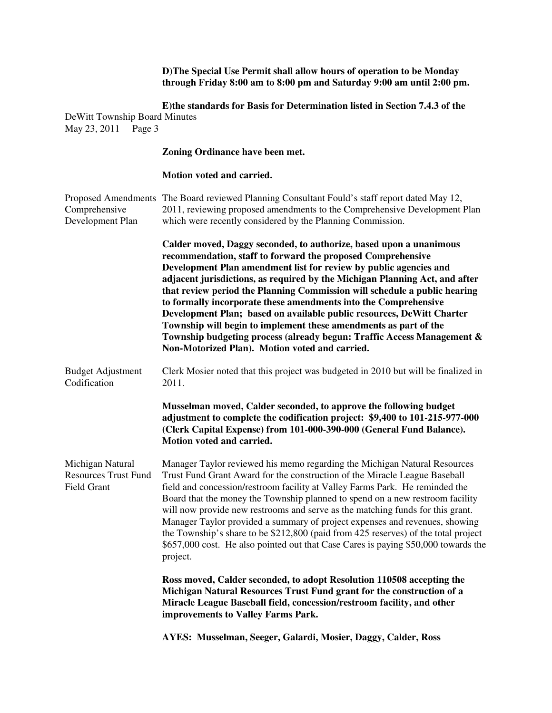**D)The Special Use Permit shall allow hours of operation to be Monday through Friday 8:00 am to 8:00 pm and Saturday 9:00 am until 2:00 pm.** 

**E)the standards for Basis for Determination listed in Section 7.4.3 of the**  DeWitt Township Board Minutes May 23, 2011 Page 3

#### **Zoning Ordinance have been met.**

### **Motion voted and carried.**

| Comprehensive<br>Development Plan                                     | Proposed Amendments The Board reviewed Planning Consultant Fould's staff report dated May 12,<br>2011, reviewing proposed amendments to the Comprehensive Development Plan<br>which were recently considered by the Planning Commission.                                                                                                                                                                                                                                                                                                                                                                                                                                                                       |
|-----------------------------------------------------------------------|----------------------------------------------------------------------------------------------------------------------------------------------------------------------------------------------------------------------------------------------------------------------------------------------------------------------------------------------------------------------------------------------------------------------------------------------------------------------------------------------------------------------------------------------------------------------------------------------------------------------------------------------------------------------------------------------------------------|
|                                                                       | Calder moved, Daggy seconded, to authorize, based upon a unanimous<br>recommendation, staff to forward the proposed Comprehensive<br>Development Plan amendment list for review by public agencies and<br>adjacent jurisdictions, as required by the Michigan Planning Act, and after<br>that review period the Planning Commission will schedule a public hearing<br>to formally incorporate these amendments into the Comprehensive<br>Development Plan; based on available public resources, DeWitt Charter<br>Township will begin to implement these amendments as part of the<br>Township budgeting process (already begun: Traffic Access Management &<br>Non-Motorized Plan). Motion voted and carried. |
| <b>Budget Adjustment</b><br>Codification                              | Clerk Mosier noted that this project was budgeted in 2010 but will be finalized in<br>2011.                                                                                                                                                                                                                                                                                                                                                                                                                                                                                                                                                                                                                    |
|                                                                       | Musselman moved, Calder seconded, to approve the following budget<br>adjustment to complete the codification project: \$9,400 to 101-215-977-000<br>(Clerk Capital Expense) from 101-000-390-000 (General Fund Balance).<br>Motion voted and carried.                                                                                                                                                                                                                                                                                                                                                                                                                                                          |
| Michigan Natural<br><b>Resources Trust Fund</b><br><b>Field Grant</b> | Manager Taylor reviewed his memo regarding the Michigan Natural Resources<br>Trust Fund Grant Award for the construction of the Miracle League Baseball<br>field and concession/restroom facility at Valley Farms Park. He reminded the<br>Board that the money the Township planned to spend on a new restroom facility<br>will now provide new restrooms and serve as the matching funds for this grant.<br>Manager Taylor provided a summary of project expenses and revenues, showing<br>the Township's share to be \$212,800 (paid from 425 reserves) of the total project<br>\$657,000 cost. He also pointed out that Case Cares is paying \$50,000 towards the<br>project.                              |
|                                                                       | Ross moved, Calder seconded, to adopt Resolution 110508 accepting the<br>Michigan Natural Resources Trust Fund grant for the construction of a<br>Miracle League Baseball field, concession/restroom facility, and other<br>improvements to Valley Farms Park.                                                                                                                                                                                                                                                                                                                                                                                                                                                 |
|                                                                       | AYES: Musselman, Seeger, Galardi, Mosier, Daggy, Calder, Ross                                                                                                                                                                                                                                                                                                                                                                                                                                                                                                                                                                                                                                                  |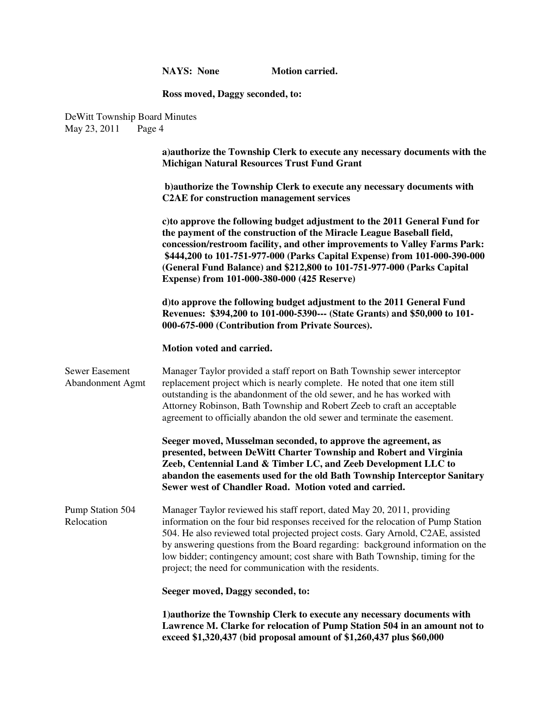**NAYS:** None **Motion carried.** 

# **Ross moved, Daggy seconded, to:**

DeWitt Township Board Minutes<br>May 23, 2011 Page 4 May 23, 2011

|                                           | a) authorize the Township Clerk to execute any necessary documents with the<br><b>Michigan Natural Resources Trust Fund Grant</b>                                                                                                                                                                                                                                                                                                                                              |
|-------------------------------------------|--------------------------------------------------------------------------------------------------------------------------------------------------------------------------------------------------------------------------------------------------------------------------------------------------------------------------------------------------------------------------------------------------------------------------------------------------------------------------------|
|                                           | b) authorize the Township Clerk to execute any necessary documents with<br><b>C2AE</b> for construction management services                                                                                                                                                                                                                                                                                                                                                    |
|                                           | c) to approve the following budget adjustment to the 2011 General Fund for<br>the payment of the construction of the Miracle League Baseball field,<br>concession/restroom facility, and other improvements to Valley Farms Park:<br>\$444,200 to 101-751-977-000 (Parks Capital Expense) from 101-000-390-000<br>(General Fund Balance) and \$212,800 to 101-751-977-000 (Parks Capital<br>Expense) from 101-000-380-000 (425 Reserve)                                        |
|                                           | d) to approve the following budget adjustment to the 2011 General Fund<br>Revenues: \$394,200 to 101-000-5390--- (State Grants) and \$50,000 to 101-<br>000-675-000 (Contribution from Private Sources).                                                                                                                                                                                                                                                                       |
|                                           | Motion voted and carried.                                                                                                                                                                                                                                                                                                                                                                                                                                                      |
| <b>Sewer Easement</b><br>Abandonment Agmt | Manager Taylor provided a staff report on Bath Township sewer interceptor<br>replacement project which is nearly complete. He noted that one item still<br>outstanding is the abandonment of the old sewer, and he has worked with<br>Attorney Robinson, Bath Township and Robert Zeeb to craft an acceptable<br>agreement to officially abandon the old sewer and terminate the easement.                                                                                     |
|                                           | Seeger moved, Musselman seconded, to approve the agreement, as<br>presented, between DeWitt Charter Township and Robert and Virginia<br>Zeeb, Centennial Land & Timber LC, and Zeeb Development LLC to<br>abandon the easements used for the old Bath Township Interceptor Sanitary<br>Sewer west of Chandler Road. Motion voted and carried.                                                                                                                                  |
| Pump Station 504<br>Relocation            | Manager Taylor reviewed his staff report, dated May 20, 2011, providing<br>information on the four bid responses received for the relocation of Pump Station<br>504. He also reviewed total projected project costs. Gary Arnold, C2AE, assisted<br>by answering questions from the Board regarding: background information on the<br>low bidder; contingency amount; cost share with Bath Township, timing for the<br>project; the need for communication with the residents. |
|                                           | Seeger moved, Daggy seconded, to:                                                                                                                                                                                                                                                                                                                                                                                                                                              |
|                                           | 1) authorize the Township Clerk to execute any necessary documents with<br>Lawrence M. Clarke for relocation of Pump Station 504 in an amount not to<br>exceed \$1,320,437 (bid proposal amount of \$1,260,437 plus \$60,000                                                                                                                                                                                                                                                   |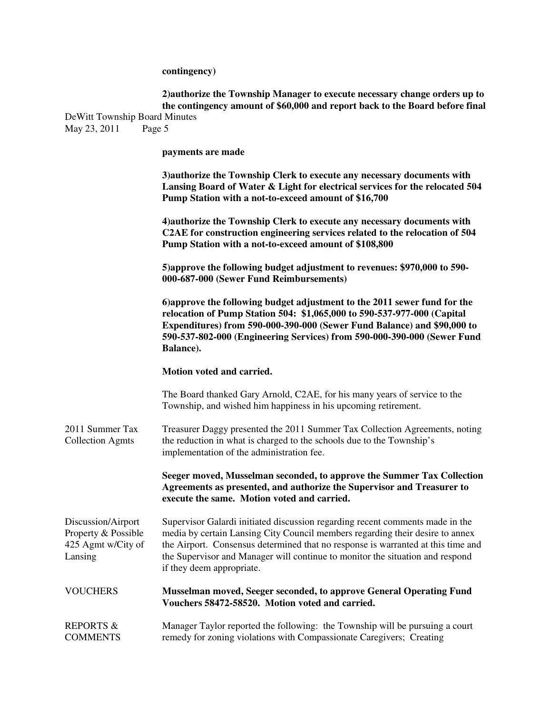**contingency)** 

|              | 2) authorize the Township Manager to execute necessary change orders up to<br>the contingency amount of \$60,000 and report back to the Board before final                                                      |
|--------------|-----------------------------------------------------------------------------------------------------------------------------------------------------------------------------------------------------------------|
|              | De Witt Township Board Minutes                                                                                                                                                                                  |
| May 23, 2011 | Page 5                                                                                                                                                                                                          |
|              | payments are made                                                                                                                                                                                               |
|              | 3) authorize the Township Clerk to execute any necessary documents with<br>Lansing Board of Water & Light for electrical services for the relocated 504<br>Pump Station with a not-to-exceed amount of \$16,700 |
|              | 4) authorize the Township Clerk to execute any necessary documents with<br>C2AE for construction engineering services related to the relocation of 504<br>Pump Station with a not-to-exceed amount of \$108,800 |
|              | 5) approve the following budget adjustment to revenues: \$970,000 to 590-<br>000-687-000 (Sewer Fund Reimbursements)                                                                                            |
|              | 6) approve the following budget adjustment to the 2011 sewer fund for the<br>relocation of Pump Station 504: \$1,065,000 to 590-537-977-000 (Capital                                                            |
|              | Expenditures) from 590-000-390-000 (Sewer Fund Balance) and \$90,000 to                                                                                                                                         |

#### **Motion voted and carried.**

**Balance).** 

The Board thanked Gary Arnold, C2AE, for his many years of service to the Township, and wished him happiness in his upcoming retirement.

**590-537-802-000 (Engineering Services) from 590-000-390-000 (Sewer Fund** 

2011 Summer Tax Treasurer Daggy presented the 2011 Summer Tax Collection Agreements, noting Collection Agmts the reduction in what is charged to the schools due to the Township's implementation of the administration fee.

> **Seeger moved, Musselman seconded, to approve the Summer Tax Collection Agreements as presented, and authorize the Supervisor and Treasurer to execute the same. Motion voted and carried.**

Discussion/Airport Supervisor Galardi initiated discussion regarding recent comments made in the Property & Possible media by certain Lansing City Council members regarding their desire to annex 425 Agmt w/City of the Airport. Consensus determined that no response is warranted at this time and Lansing the Supervisor and Manager will continue to monitor the situation and respond if they deem appropriate.

VOUCHERS **Musselman moved, Seeger seconded, to approve General Operating Fund Vouchers 58472-58520. Motion voted and carried.**

REPORTS & Manager Taylor reported the following: the Township will be pursuing a court COMMENTS remedy for zoning violations with Compassionate Caregivers; Creating